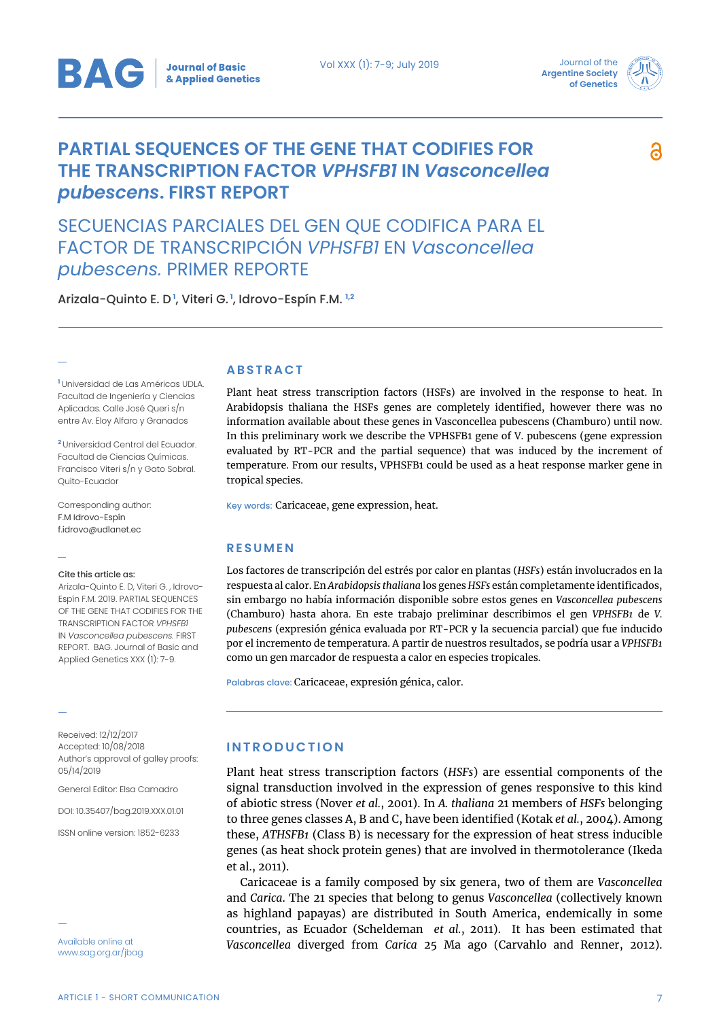

**Argentine Society of Genetics**



6

# **PARTIAL SEQUENCES OF THE GENE THAT CODIFIES FOR THE TRANSCRIPTION FACTOR** *VPHSFB1* **IN** *Vasconcellea pubescens***. FIRST REPORT**

SECUENCIAS PARCIALES DEL GEN QUE CODIFICA PARA EL FACTOR DE TRANSCRIPCIÓN *VPHSFB1* EN *Vasconcellea pubescens.* PRIMER REPORTE

Arizala-Quinto E. D **<sup>1</sup>** , Viteri G. **<sup>1</sup>** , Idrovo-Espín F.M. **1,2** 

**<sup>1</sup>** Universidad de Las Américas UDLA. Facultad de Ingeniería y Ciencias Aplicadas. Calle José Queri s/n entre Av. Eloy Alfaro y Granados

**<sup>2</sup>** Universidad Central del Ecuador. Facultad de Ciencias Químicas. Francisco Viteri s/n y Gato Sobral. Quito-Ecuador

Corresponding author: F.M Idrovo-Espín f.idrovo@udlanet.ec

#### Cite this article as:

Arizala-Quinto E. D, Viteri G. , Idrovo-Espín F.M. 2019. PARTIAL SEQUENCES OF THE GENE THAT CODIFIES FOR THE TRANSCRIPTION FACTOR *VPHSFB1* IN *Vasconcellea pubescens.* FIRST REPORT. BAG. Journal of Basic and Applied Genetics XXX (1): 7-9.

Received: 12/12/2017 Accepted: 10/08/2018 Author's approval of galley proofs: 05/14/2019

General Editor: Elsa Camadro

DOI: 10.35407/bag.2019.XXX.01.01

ISSN online version: 1852-6233

www.sag.org.ar/jbag

#### **ABSTRACT**

Plant heat stress transcription factors (HSFs) are involved in the response to heat. In Arabidopsis thaliana the HSFs genes are completely identified, however there was no information available about these genes in Vasconcellea pubescens (Chamburo) until now. In this preliminary work we describe the VPHSFB1 gene of V. pubescens (gene expression evaluated by RT-PCR and the partial sequence) that was induced by the increment of temperature. From our results, VPHSFB1 could be used as a heat response marker gene in tropical species.

Key words: Caricaceae, gene expression, heat.

## **RESUMEN**

Los factores de transcripción del estrés por calor en plantas (*HSFs*) están involucrados en la respuesta al calor. En *Arabidopsis thaliana* los genes *HSFs* están completamente identificados, sin embargo no había información disponible sobre estos genes en *Vasconcellea pubescens* (Chamburo) hasta ahora. En este trabajo preliminar describimos el gen *VPHSFB1* de *V. pubescens* (expresión génica evaluada por RT-PCR y la secuencia parcial) que fue inducido por el incremento de temperatura. A partir de nuestros resultados, se podría usar a *VPHSFB1*  como un gen marcador de respuesta a calor en especies tropicales.

Palabras clave: Caricaceae, expresión génica, calor.

## **INTRODUCTION**

Plant heat stress transcription factors (*HSFs*) are essential components of the signal transduction involved in the expression of genes responsive to this kind of abiotic stress (Nover *et al.*, 2001). In *A. thaliana* 21 members of *HSFs* belonging to three genes classes A, B and C, have been identified (Kotak *et al.*, 2004). Among these, *ATHSFB1* (Class B) is necessary for the expression of heat stress inducible genes (as heat shock protein genes) that are involved in thermotolerance (Ikeda et al., 2011).

Caricaceae is a family composed by six genera, two of them are *Vasconcellea* and *Carica*. The 21 species that belong to genus *Vasconcellea* (collectively known as highland papayas) are distributed in South America, endemically in some countries, as Ecuador (Scheldeman *et al.*, 2011). It has been estimated that *Vasconcellea* diverged from *Carica* 25 Ma ago (Carvahlo and Renner, 2012). Available online at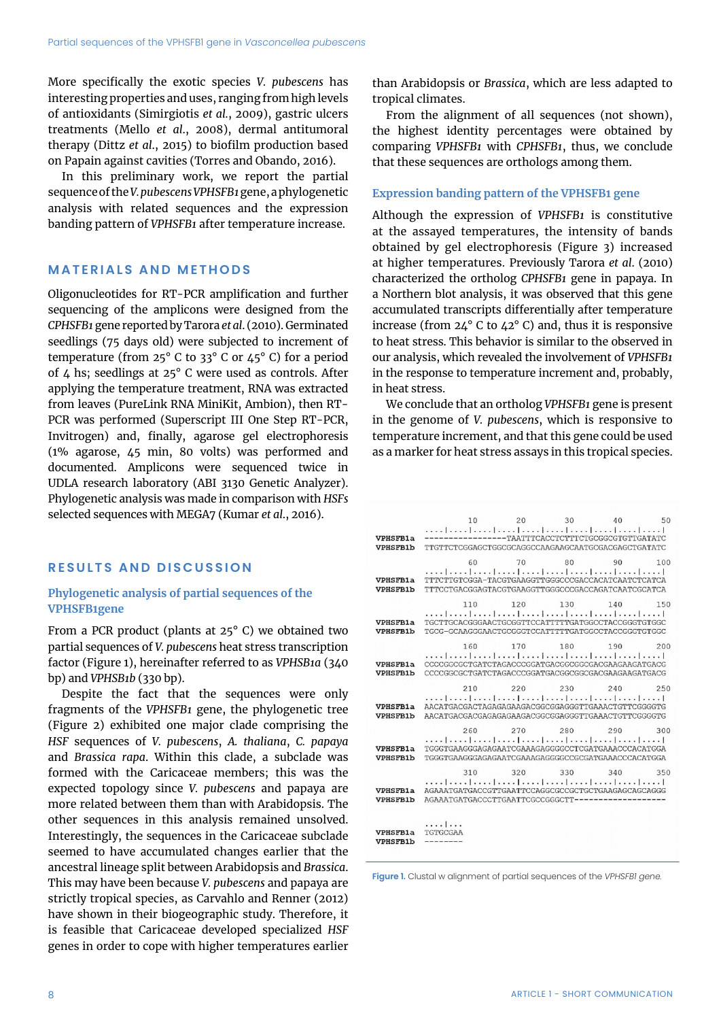More specifically the exotic species *V. pubescens* has interesting properties and uses, ranging from high levels of antioxidants (Simirgiotis *et al.*, 2009), gastric ulcers treatments (Mello *et al*., 2008), dermal antitumoral therapy (Dittz *et al*., 2015) to biofilm production based on Papain against cavities (Torres and Obando, 2016).

In this preliminary work, we report the partial sequence of the *V. pubescensVPHSFB1* gene, a phylogenetic analysis with related sequences and the expression banding pattern of *VPHSFB1* after temperature increase.

## **MATERIALS AND METHODS**

Oligonucleotides for RT-PCR amplification and further sequencing of the amplicons were designed from the *CPHSFB1* gene reported by Tarora *et al*. (2010). Germinated seedlings (75 days old) were subjected to increment of temperature (from  $25^{\circ}$  C to 33° C or  $45^{\circ}$  C) for a period of 4 hs; seedlings at 25° C were used as controls. After applying the temperature treatment, RNA was extracted from leaves (PureLink RNA MiniKit, Ambion), then RT-PCR was performed (Superscript III One Step RT-PCR, Invitrogen) and, finally, agarose gel electrophoresis (1% agarose, 45 min, 80 volts) was performed and documented. Amplicons were sequenced twice in UDLA research laboratory (ABI 3130 Genetic Analyzer). Phylogenetic analysis was made in comparison with *HSFs* selected sequences with MEGA7 (Kumar *et al*., 2016).

## **RESULTS AND DISCUSSION**

## **Phylogenetic analysis of partial sequences of the VPHSFB1gene**

From a PCR product (plants at 25° C) we obtained two partial sequences of *V. pubescens* heat stress transcription factor (Figure 1), hereinafter referred to as *VPHSB1a* (340 bp) and *VPHSB1b* (330 bp).

Despite the fact that the sequences were only fragments of the *VPHSFB1* gene, the phylogenetic tree (Figure 2) exhibited one major clade comprising the *HSF* sequences of *V. pubescens*, *A. thaliana*, *C. papaya* and *Brassica rapa*. Within this clade, a subclade was formed with the Caricaceae members; this was the expected topology since *V. pubescens* and papaya are more related between them than with Arabidopsis. The other sequences in this analysis remained unsolved. Interestingly, the sequences in the Caricaceae subclade seemed to have accumulated changes earlier that the ancestral lineage split between Arabidopsis and *Brassica*. This may have been because *V. pubescens* and papaya are strictly tropical species, as Carvahlo and Renner (2012) have shown in their biogeographic study. Therefore, it is feasible that Caricaceae developed specialized *HSF*  genes in order to cope with higher temperatures earlier than Arabidopsis or *Brassica*, which are less adapted to tropical climates.

From the alignment of all sequences (not shown), the highest identity percentages were obtained by comparing *VPHSFB1* with *CPHSFB1*, thus, we conclude that these sequences are orthologs among them.

## **Expression banding pattern of the VPHSFB1 gene**

Although the expression of *VPHSFB1* is constitutive at the assayed temperatures, the intensity of bands obtained by gel electrophoresis (Figure 3) increased at higher temperatures. Previously Tarora *et al*. (2010) characterized the ortholog *CPHSFB1* gene in papaya. In a Northern blot analysis, it was observed that this gene accumulated transcripts differentially after temperature increase (from  $24^{\circ}$  C to  $42^{\circ}$  C) and, thus it is responsive to heat stress. This behavior is similar to the observed in our analysis, which revealed the involvement of *VPHSFB1* in the response to temperature increment and, probably, in heat stress.

We conclude that an ortholog *VPHSFB1* gene is present in the genome of *V. pubescens*, which is responsive to temperature increment, and that this gene could be used as a marker for heat stress assays in this tropical species.

| VPHSFB1a<br><b>VPHSFB1b</b>        | 10<br>TTGTTCTCGGAGCTGGCGCAGGCCAAGAAGCAATGCGACGAGCTGATATC                                                                                                                            | --------------TAATTTCACCTCTTTCTGCGGCGTGTTGATATC | 20 | 30 40 50 |  |
|------------------------------------|-------------------------------------------------------------------------------------------------------------------------------------------------------------------------------------|-------------------------------------------------|----|----------|--|
| <b>VPHSFB1a</b><br><b>VPHSFB1b</b> | 60<br>المتما تميز المتمل بممار تمريز المتمل بممار بمبار المعتزل بمن<br>TTTCTTGTCGGA-TACGTGAAGGTTGGGCCCGACCACATCAATCTCATCA<br>TTTCCTGACGGAGTACGTGAAGGTTGGGCCCGACCAGATCAATCGCATCA     | 70 80 90 100                                    |    |          |  |
| <b>VPHSFB1a</b><br><b>VPHSFB1b</b> | 110<br>[[تربيح  تربيح  تربيح  تربيح  تربيح  تربيح  تربيح  تربيح  تربيح <br>TGCTTGCACGGGAACTGCGGTTCCATTTTTGATGGCCTACCGGGTGTGGC<br>TGCG-GCAAGGGAACTGCGGGTCCATTTTTGATGGCCTACCGGGTGTGGC | 120 130 140 150                                 |    |          |  |
| <b>VPHSFB1a</b><br><b>VPHSFB1b</b> | 160<br>CCCCGGCGCTGATCTAGACCCGGATGACGGCGCGCGACGAAGAAGATGACG<br>CCCCGGCGCTGATCTAGACCCGGATGACGGCGGCGACGAAGAAGATGACG                                                                    | 170 180 190 200                                 |    |          |  |
| <b>VPHSFB1a</b><br>VPHSFB1b        | 210<br>[[يحدر  يحدر  يحدر  يلحد   يحدر   يحدر  يحدر  يحدر  يحدر  يُحد<br>AACATGACGACTAGAGAGAAGACGCCGGAGGGTTGAAACTGTTCGGGGTG<br>AACATGACGACGAGAGAGAAGACGGCGGAGGGTTGAAACTGTTCGGGGTG   | 220 230 240 250                                 |    |          |  |
| <b>VPHSFB1a</b><br>VPHSFR1b        | 260<br>TGGGTGAAGGGAGAGAATCGAAAGAGGGGCCTCGATGAAACCCACATGGA<br>TGGGTGAAGGGAGAGAATCGAAAGAGGGGCCGCGATGAAACCCACATGGA                                                                     | 270 280 290 300                                 |    |          |  |
| <b>VPHSFB1a</b><br><b>VPHSFB1b</b> | 310<br>AGAAATGATGACCGTTGAATTCCAGGCGCCGCTGCTGAAGAGCAGCAGGG<br>AGAAATGATGACCCTTGAATTCGCCGGGCTT--------                                                                                | 320 330 340 350                                 |    |          |  |
| VPHSFB1a<br>VPHSFB1b               | .  <br>TGTGCGAA                                                                                                                                                                     |                                                 |    |          |  |

**Figure 1.** Clustal w alignment of partial sequences of the *VPHSFB1 gene.*